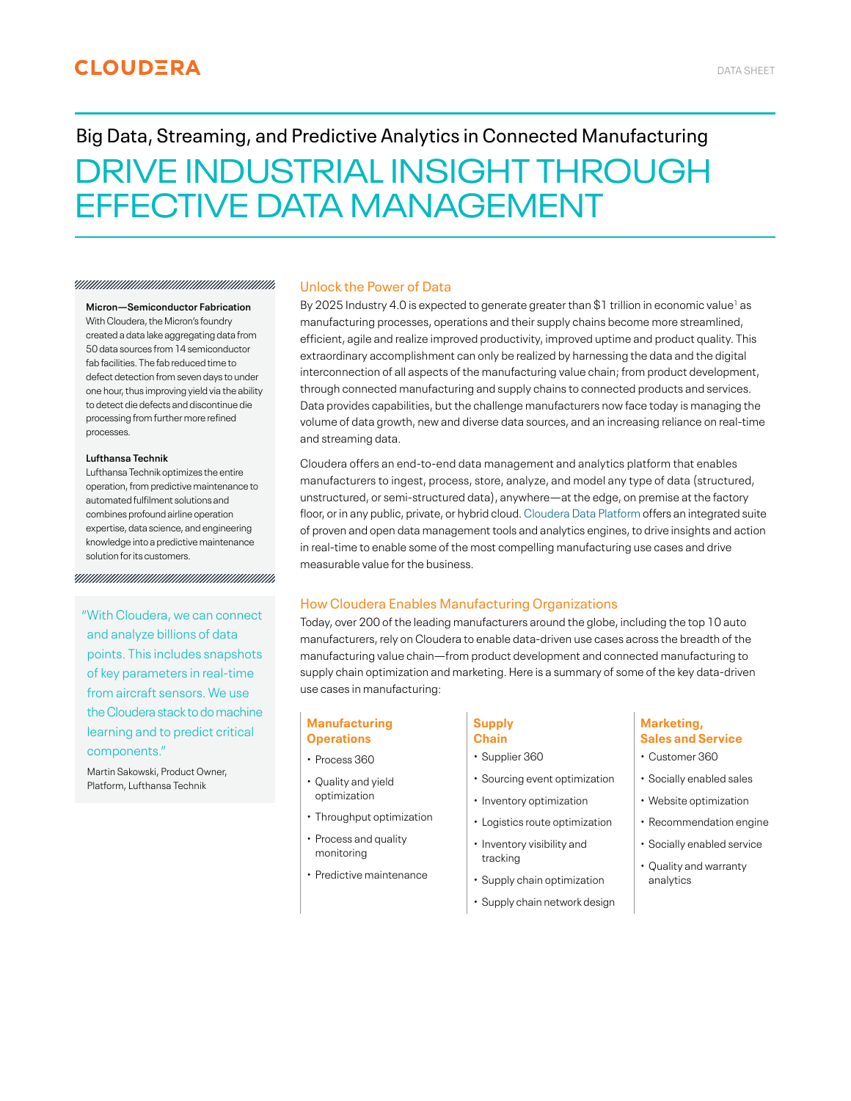# **CLOUDERA**

# Big Data, Streaming, and Predictive Analytics in Connected Manufacturing DRIVE INDUSTRIAL INSIGHT THROUGH EFFECTIVE DATA MANAGEMENT

### 

#### **Micron—Semiconductor Fabrication**

With Cloudera, the Micron's foundry created a data lake aggregating data from 50 data sources from 14 semiconductor fab facilities. The fab reduced time to defect detection from seven days to under one hour, thus improving yield via the ability to detect die defects and discontinue die processing from further more refined processes.

### **Lufthansa Technik**

Lufthansa Technik optimizes the entire operation, from predictive maintenance to automated fulfilment solutions and combines profound airline operation expertise, data science, and engineering knowledge into a predictive maintenance solution for its customers.

"With Cloudera, we can connect and analyze billions of data points. This includes snapshots of key parameters in real-time from aircraft sensors. We use the Cloudera stack to do machine learning and to predict critical components."

Martin Sakowski, Product Owner, Platform, Lufthansa Technik

# Unlock the Power of Data

By 2025 Industry 4.0 is expected to generate greater than  $$1$  trillion in economic value<sup>1</sup> as manufacturing processes, operations and their supply chains become more streamlined, efficient, agile and realize improved productivity, improved uptime and product quality. This extraordinary accomplishment can only be realized by harnessing the data and the digital interconnection of all aspects of the manufacturing value chain; from product development, through connected manufacturing and supply chains to connected products and services. Data provides capabilities, but the challenge manufacturers now face today is managing the volume of data growth, new and diverse data sources, and an increasing reliance on real-time and streaming data.

Cloudera offers an end-to-end data management and analytics platform that enables manufacturers to ingest, process, store, analyze, and model any type of data (structured, unstructured, or semi-structured data), anywhere—at the edge, on premise at the factory floor, or in any public, private, or hybrid cloud. [Cloudera Data Platform](https://www.cloudera.com/products/cloudera-data-platform.html) offers an integrated suite of proven and open data management tools and analytics engines, to drive insights and action in real-time to enable some of the most compelling manufacturing use cases and drive measurable value for the business.

# How Cloudera Enables Manufacturing Organizations

Today, over 200 of the leading manufacturers around the globe, including the top 10 auto manufacturers, rely on Cloudera to enable data-driven use cases across the breadth of the manufacturing value chain—from product development and connected manufacturing to supply chain optimization and marketing. Here is a summary of some of the key data-driven use cases in manufacturing:

# **Manufacturing Operations**

- Process 360
- Quality and yield optimization
- Throughput optimization
- Process and quality monitoring
- Predictive maintenance

### **Supply Chain**

- Supplier 360
- Sourcing event optimization
- Inventory optimization
- Logistics route optimization
- Inventory visibility and tracking
- Supply chain optimization
- Supply chain network design

# **Marketing, Sales and Service**

- Customer 360
- Socially enabled sales
- Website optimization
- Recommendation engine
- Socially enabled service
- Quality and warranty analytics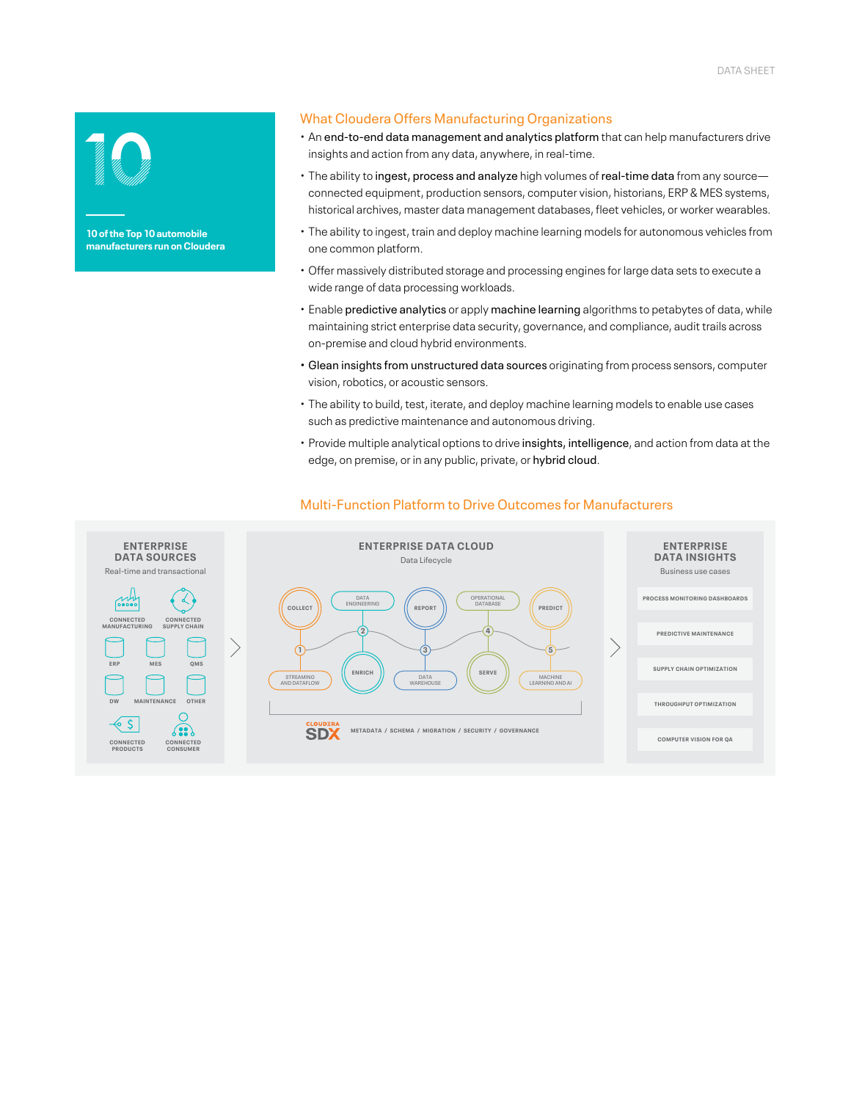

**manufacturers run on Cloudera**

# What Cloudera Offers Manufacturing Organizations

- An end-to-end data management and analytics platform that can help manufacturers drive insights and action from any data, anywhere, in real-time.
- The ability to ingest, process and analyze high volumes of real-time data from any source connected equipment, production sensors, computer vision, historians, ERP & MES systems, historical archives, master data management databases, fleet vehicles, or worker wearables.
- The ability to ingest, train and deploy machine learning models for autonomous vehicles from one common platform.
- Offer massively distributed storage and processing engines for large data sets to execute a wide range of data processing workloads.
- Enable predictive analytics or apply machine learning algorithms to petabytes of data, while maintaining strict enterprise data security, governance, and compliance, audit trails across on-premise and cloud hybrid environments.
- Glean insights from unstructured data sources originating from process sensors, computer vision, robotics, or acoustic sensors.
- The ability to build, test, iterate, and deploy machine learning models to enable use cases such as predictive maintenance and autonomous driving.
- Provide multiple analytical options to drive insights, intelligence, and action from data at the edge, on premise, or in any public, private, or hybrid cloud.



# Multi-Function Platform to Drive Outcomes for Manufacturers